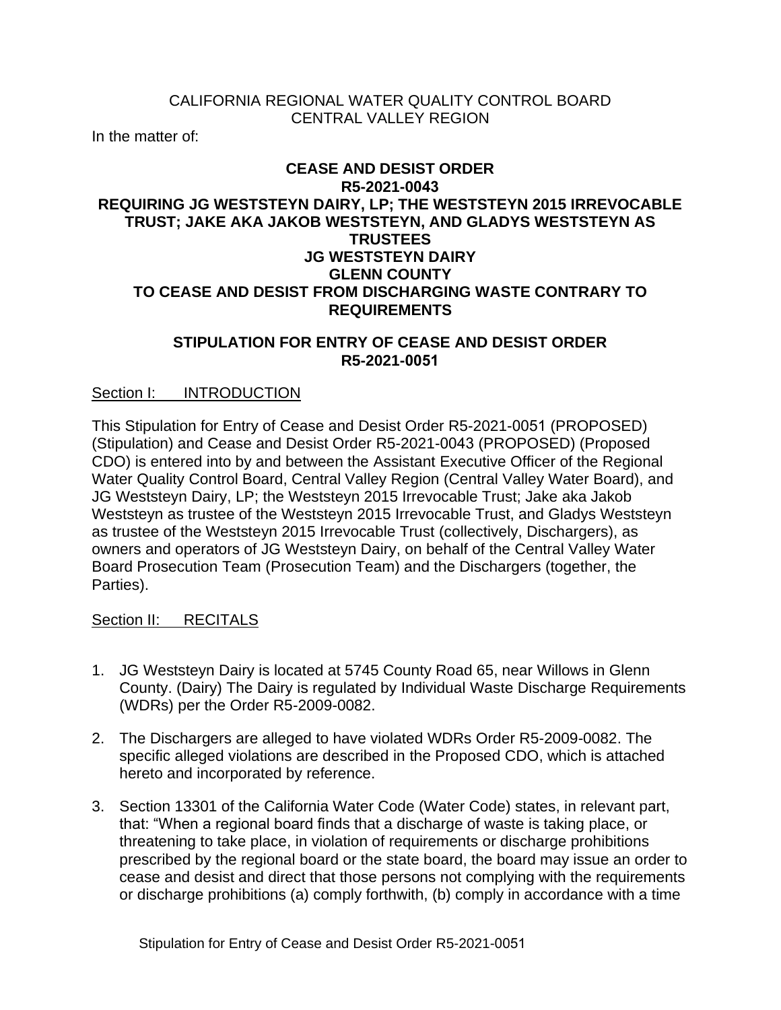## CALIFORNIA REGIONAL WATER QUALITY CONTROL BOARD CENTRAL VALLEY REGION

In the matter of:

## **CEASE AND DESIST ORDER R5-2021-0043 REQUIRING JG WESTSTEYN DAIRY, LP; THE WESTSTEYN 2015 IRREVOCABLE TRUST; JAKE AKA JAKOB WESTSTEYN, AND GLADYS WESTSTEYN AS TRUSTEES JG WESTSTEYN DAIRY GLENN COUNTY TO CEASE AND DESIST FROM DISCHARGING WASTE CONTRARY TO REQUIREMENTS**

### **STIPULATION FOR ENTRY OF CEASE AND DESIST ORDER R5-2021-0051**

### Section I: INTRODUCTION

This Stipulation for Entry of Cease and Desist Order R5-2021-0051 (PROPOSED) (Stipulation) and Cease and Desist Order R5-2021-0043 (PROPOSED) (Proposed CDO) is entered into by and between the Assistant Executive Officer of the Regional Water Quality Control Board, Central Valley Region (Central Valley Water Board), and JG Weststeyn Dairy, LP; the Weststeyn 2015 Irrevocable Trust; Jake aka Jakob Weststeyn as trustee of the Weststeyn 2015 Irrevocable Trust, and Gladys Weststeyn as trustee of the Weststeyn 2015 Irrevocable Trust (collectively, Dischargers), as owners and operators of JG Weststeyn Dairy, on behalf of the Central Valley Water Board Prosecution Team (Prosecution Team) and the Dischargers (together, the Parties).

#### Section II: RECITALS

- 1. JG Weststeyn Dairy is located at 5745 County Road 65, near Willows in Glenn County. (Dairy) The Dairy is regulated by Individual Waste Discharge Requirements (WDRs) per the Order R5-2009-0082.
- 2. The Dischargers are alleged to have violated WDRs Order R5-2009-0082. The specific alleged violations are described in the Proposed CDO, which is attached hereto and incorporated by reference.
- 3. Section 13301 of the California Water Code (Water Code) states, in relevant part, that: "When a regional board finds that a discharge of waste is taking place, or threatening to take place, in violation of requirements or discharge prohibitions prescribed by the regional board or the state board, the board may issue an order to cease and desist and direct that those persons not complying with the requirements or discharge prohibitions (a) comply forthwith, (b) comply in accordance with a time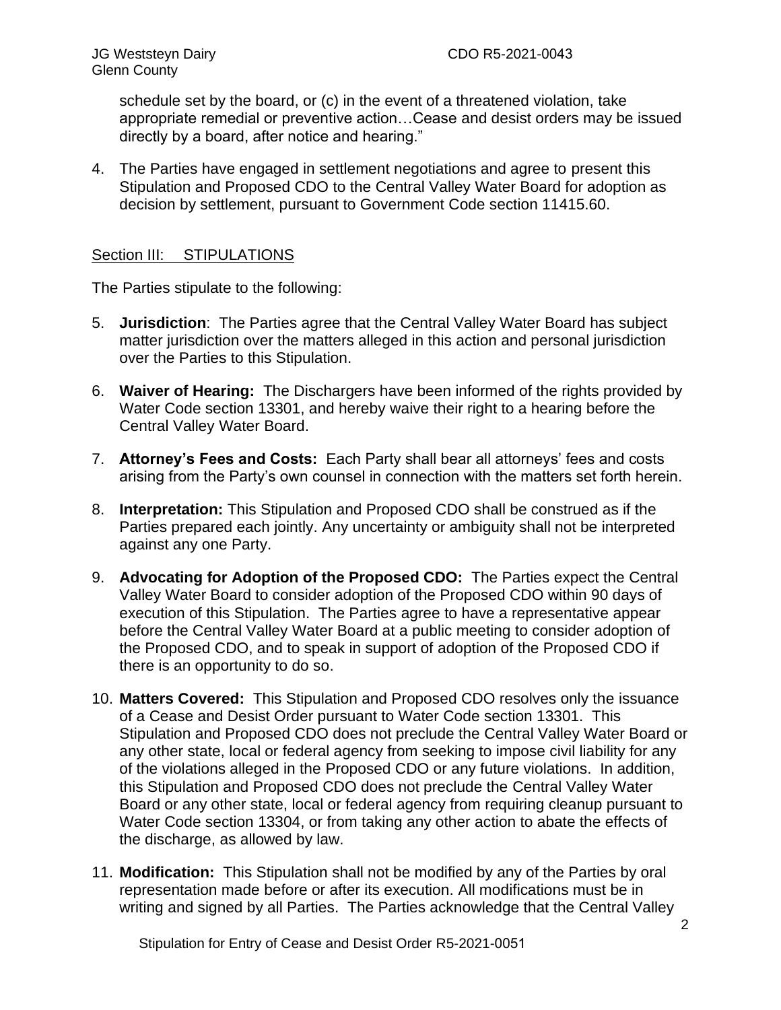schedule set by the board, or (c) in the event of a threatened violation, take appropriate remedial or preventive action…Cease and desist orders may be issued directly by a board, after notice and hearing."

4. The Parties have engaged in settlement negotiations and agree to present this Stipulation and Proposed CDO to the Central Valley Water Board for adoption as decision by settlement, pursuant to Government Code section 11415.60.

## Section III: STIPULATIONS

The Parties stipulate to the following:

- 5. **Jurisdiction**: The Parties agree that the Central Valley Water Board has subject matter jurisdiction over the matters alleged in this action and personal jurisdiction over the Parties to this Stipulation.
- 6. **Waiver of Hearing:** The Dischargers have been informed of the rights provided by Water Code section 13301, and hereby waive their right to a hearing before the Central Valley Water Board.
- 7. **Attorney's Fees and Costs:** Each Party shall bear all attorneys' fees and costs arising from the Party's own counsel in connection with the matters set forth herein.
- 8. **Interpretation:** This Stipulation and Proposed CDO shall be construed as if the Parties prepared each jointly. Any uncertainty or ambiguity shall not be interpreted against any one Party.
- 9. **Advocating for Adoption of the Proposed CDO:** The Parties expect the Central Valley Water Board to consider adoption of the Proposed CDO within 90 days of execution of this Stipulation. The Parties agree to have a representative appear before the Central Valley Water Board at a public meeting to consider adoption of the Proposed CDO, and to speak in support of adoption of the Proposed CDO if there is an opportunity to do so.
- 10. **Matters Covered:** This Stipulation and Proposed CDO resolves only the issuance of a Cease and Desist Order pursuant to Water Code section 13301. This Stipulation and Proposed CDO does not preclude the Central Valley Water Board or any other state, local or federal agency from seeking to impose civil liability for any of the violations alleged in the Proposed CDO or any future violations. In addition, this Stipulation and Proposed CDO does not preclude the Central Valley Water Board or any other state, local or federal agency from requiring cleanup pursuant to Water Code section 13304, or from taking any other action to abate the effects of the discharge, as allowed by law.
- 11. **Modification:** This Stipulation shall not be modified by any of the Parties by oral representation made before or after its execution. All modifications must be in writing and signed by all Parties. The Parties acknowledge that the Central Valley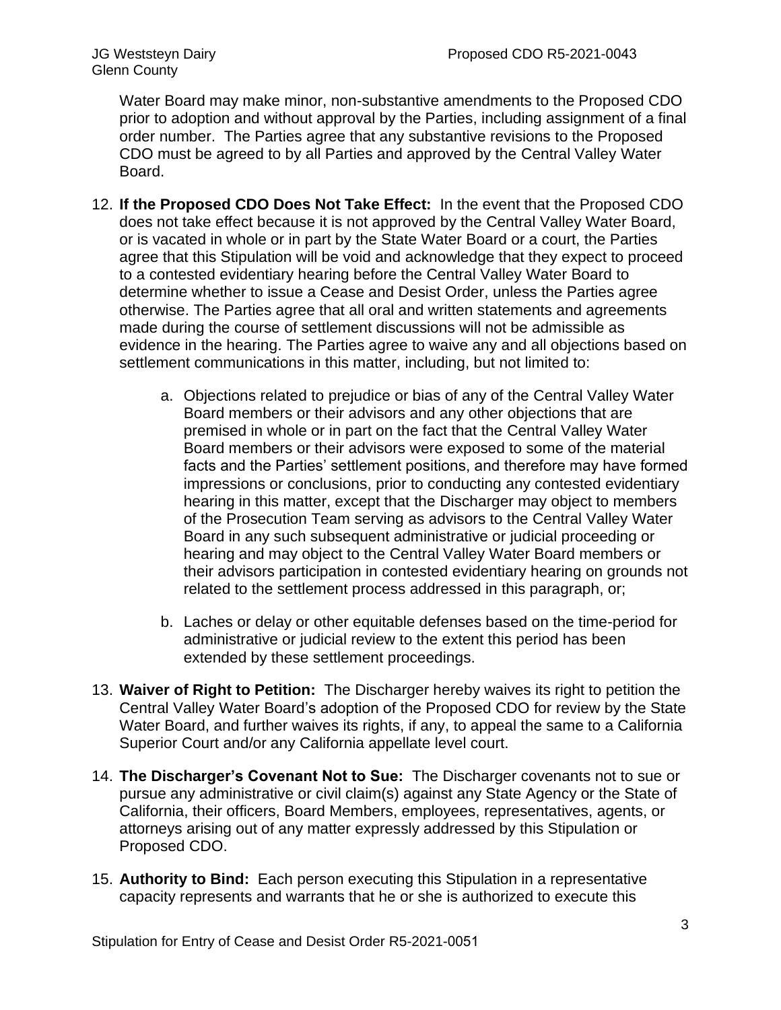Water Board may make minor, non-substantive amendments to the Proposed CDO prior to adoption and without approval by the Parties, including assignment of a final order number. The Parties agree that any substantive revisions to the Proposed CDO must be agreed to by all Parties and approved by the Central Valley Water Board.

- 12. **If the Proposed CDO Does Not Take Effect:** In the event that the Proposed CDO does not take effect because it is not approved by the Central Valley Water Board, or is vacated in whole or in part by the State Water Board or a court, the Parties agree that this Stipulation will be void and acknowledge that they expect to proceed to a contested evidentiary hearing before the Central Valley Water Board to determine whether to issue a Cease and Desist Order, unless the Parties agree otherwise. The Parties agree that all oral and written statements and agreements made during the course of settlement discussions will not be admissible as evidence in the hearing. The Parties agree to waive any and all objections based on settlement communications in this matter, including, but not limited to:
	- a. Objections related to prejudice or bias of any of the Central Valley Water Board members or their advisors and any other objections that are premised in whole or in part on the fact that the Central Valley Water Board members or their advisors were exposed to some of the material facts and the Parties' settlement positions, and therefore may have formed impressions or conclusions, prior to conducting any contested evidentiary hearing in this matter, except that the Discharger may object to members of the Prosecution Team serving as advisors to the Central Valley Water Board in any such subsequent administrative or judicial proceeding or hearing and may object to the Central Valley Water Board members or their advisors participation in contested evidentiary hearing on grounds not related to the settlement process addressed in this paragraph, or;
	- b. Laches or delay or other equitable defenses based on the time-period for administrative or judicial review to the extent this period has been extended by these settlement proceedings.
- 13. **Waiver of Right to Petition:** The Discharger hereby waives its right to petition the Central Valley Water Board's adoption of the Proposed CDO for review by the State Water Board, and further waives its rights, if any, to appeal the same to a California Superior Court and/or any California appellate level court.
- 14. **The Discharger's Covenant Not to Sue:** The Discharger covenants not to sue or pursue any administrative or civil claim(s) against any State Agency or the State of California, their officers, Board Members, employees, representatives, agents, or attorneys arising out of any matter expressly addressed by this Stipulation or Proposed CDO.
- 15. **Authority to Bind:** Each person executing this Stipulation in a representative capacity represents and warrants that he or she is authorized to execute this